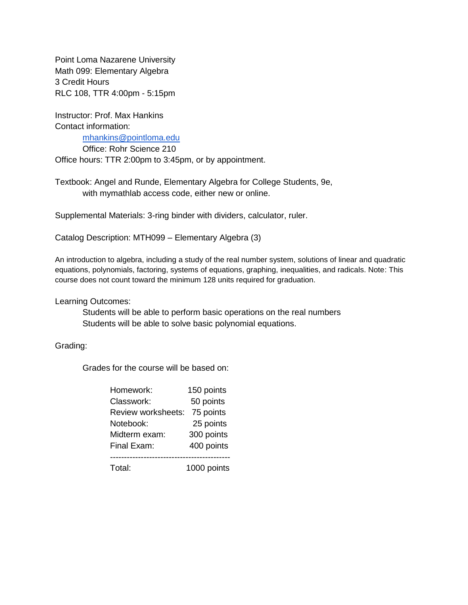Point Loma Nazarene University Math 099: Elementary Algebra 3 Credit Hours RLC 108, TTR 4:00pm - 5:15pm

Instructor: Prof. Max Hankins Contact information:

[mhankins@pointloma.edu](mailto:mhankins@pointloma.edu)

Office: Rohr Science 210

Office hours: TTR 2:00pm to 3:45pm, or by appointment.

Textbook: Angel and Runde, Elementary Algebra for College Students, 9e, with mymathlab access code, either new or online.

Supplemental Materials: 3-ring binder with dividers, calculator, ruler.

Catalog Description: MTH099 – Elementary Algebra (3)

An introduction to algebra, including a study of the real number system, solutions of linear and quadratic equations, polynomials, factoring, systems of equations, graphing, inequalities, and radicals. Note: This course does not count toward the minimum 128 units required for graduation.

Learning Outcomes:

Students will be able to perform basic operations on the real numbers Students will be able to solve basic polynomial equations.

Grading:

Grades for the course will be based on:

| Homework:          | 150 points  |
|--------------------|-------------|
| Classwork:         | 50 points   |
| Review worksheets: | 75 points   |
| Notebook:          | 25 points   |
| Midterm exam:      | 300 points  |
| Final Exam:        | 400 points  |
|                    |             |
| Total:             | 1000 points |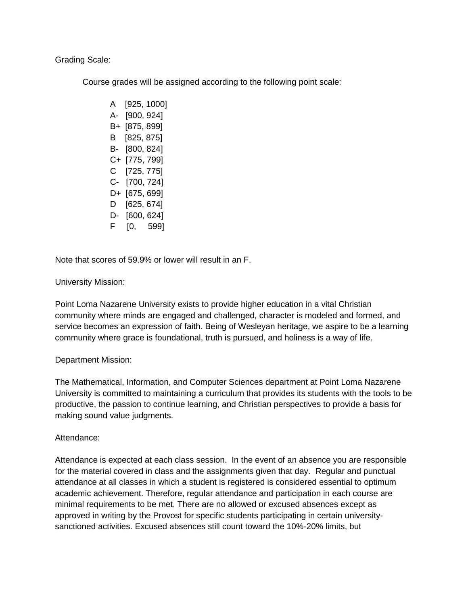Grading Scale:

Course grades will be assigned according to the following point scale:

A [925, 1000] A- [900, 924] B+ [875, 899] B [825, 875] B- [800, 824] C+ [775, 799] C [725, 775] C- [700, 724] D+ [675, 699] D [625, 674] D- [600, 624] F [0, 599]

Note that scores of 59.9% or lower will result in an F.

# University Mission:

Point Loma Nazarene University exists to provide higher education in a vital Christian community where minds are engaged and challenged, character is modeled and formed, and service becomes an expression of faith. Being of Wesleyan heritage, we aspire to be a learning community where grace is foundational, truth is pursued, and holiness is a way of life.

## Department Mission:

The Mathematical, Information, and Computer Sciences department at Point Loma Nazarene University is committed to maintaining a curriculum that provides its students with the tools to be productive, the passion to continue learning, and Christian perspectives to provide a basis for making sound value judgments.

## Attendance:

Attendance is expected at each class session. In the event of an absence you are responsible for the material covered in class and the assignments given that day. Regular and punctual attendance at all classes in which a student is registered is considered essential to optimum academic achievement. Therefore, regular attendance and participation in each course are minimal requirements to be met. There are no allowed or excused absences except as approved in writing by the Provost for specific students participating in certain universitysanctioned activities. Excused absences still count toward the 10%-20% limits, but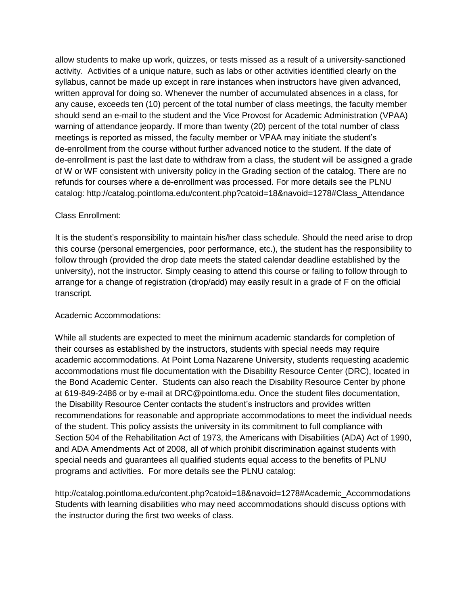allow students to make up work, quizzes, or tests missed as a result of a university-sanctioned activity. Activities of a unique nature, such as labs or other activities identified clearly on the syllabus, cannot be made up except in rare instances when instructors have given advanced, written approval for doing so. Whenever the number of accumulated absences in a class, for any cause, exceeds ten (10) percent of the total number of class meetings, the faculty member should send an e-mail to the student and the Vice Provost for Academic Administration (VPAA) warning of attendance jeopardy. If more than twenty (20) percent of the total number of class meetings is reported as missed, the faculty member or VPAA may initiate the student's de-enrollment from the course without further advanced notice to the student. If the date of de-enrollment is past the last date to withdraw from a class, the student will be assigned a grade of W or WF consistent with university policy in the Grading section of the catalog. There are no refunds for courses where a de-enrollment was processed. For more details see the PLNU catalog: http://catalog.pointloma.edu/content.php?catoid=18&navoid=1278#Class\_Attendance

## Class Enrollment:

It is the student's responsibility to maintain his/her class schedule. Should the need arise to drop this course (personal emergencies, poor performance, etc.), the student has the responsibility to follow through (provided the drop date meets the stated calendar deadline established by the university), not the instructor. Simply ceasing to attend this course or failing to follow through to arrange for a change of registration (drop/add) may easily result in a grade of F on the official transcript.

## Academic Accommodations:

While all students are expected to meet the minimum academic standards for completion of their courses as established by the instructors, students with special needs may require academic accommodations. At Point Loma Nazarene University, students requesting academic accommodations must file documentation with the Disability Resource Center (DRC), located in the Bond Academic Center. Students can also reach the Disability Resource Center by phone at 619-849-2486 or by e-mail at DRC@pointloma.edu. Once the student files documentation, the Disability Resource Center contacts the student's instructors and provides written recommendations for reasonable and appropriate accommodations to meet the individual needs of the student. This policy assists the university in its commitment to full compliance with Section 504 of the Rehabilitation Act of 1973, the Americans with Disabilities (ADA) Act of 1990, and ADA Amendments Act of 2008, all of which prohibit discrimination against students with special needs and guarantees all qualified students equal access to the benefits of PLNU programs and activities. For more details see the PLNU catalog:

http://catalog.pointloma.edu/content.php?catoid=18&navoid=1278#Academic\_Accommodations Students with learning disabilities who may need accommodations should discuss options with the instructor during the first two weeks of class.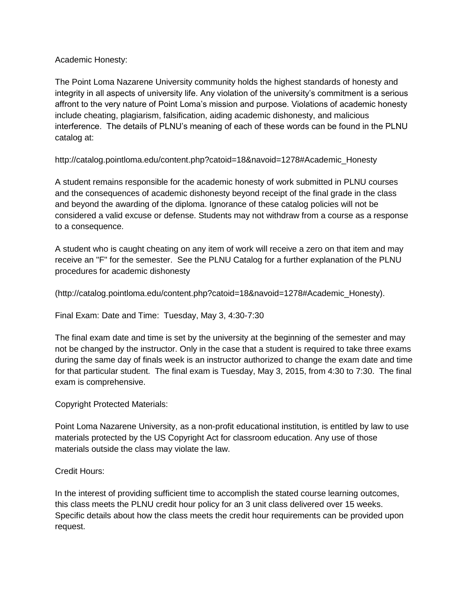# Academic Honesty:

The Point Loma Nazarene University community holds the highest standards of honesty and integrity in all aspects of university life. Any violation of the university's commitment is a serious affront to the very nature of Point Loma's mission and purpose. Violations of academic honesty include cheating, plagiarism, falsification, aiding academic dishonesty, and malicious interference. The details of PLNU's meaning of each of these words can be found in the PLNU catalog at:

http://catalog.pointloma.edu/content.php?catoid=18&navoid=1278#Academic\_Honesty

A student remains responsible for the academic honesty of work submitted in PLNU courses and the consequences of academic dishonesty beyond receipt of the final grade in the class and beyond the awarding of the diploma. Ignorance of these catalog policies will not be considered a valid excuse or defense. Students may not withdraw from a course as a response to a consequence.

A student who is caught cheating on any item of work will receive a zero on that item and may receive an "F" for the semester. See the PLNU Catalog for a further explanation of the PLNU procedures for academic dishonesty

(http://catalog.pointloma.edu/content.php?catoid=18&navoid=1278#Academic\_Honesty).

Final Exam: Date and Time: Tuesday, May 3, 4:30-7:30

The final exam date and time is set by the university at the beginning of the semester and may not be changed by the instructor. Only in the case that a student is required to take three exams during the same day of finals week is an instructor authorized to change the exam date and time for that particular student. The final exam is Tuesday, May 3, 2015, from 4:30 to 7:30. The final exam is comprehensive.

## Copyright Protected Materials:

Point Loma Nazarene University, as a non-profit educational institution, is entitled by law to use materials protected by the US Copyright Act for classroom education. Any use of those materials outside the class may violate the law.

Credit Hours:

In the interest of providing sufficient time to accomplish the stated course learning outcomes, this class meets the PLNU credit hour policy for an 3 unit class delivered over 15 weeks. Specific details about how the class meets the credit hour requirements can be provided upon request.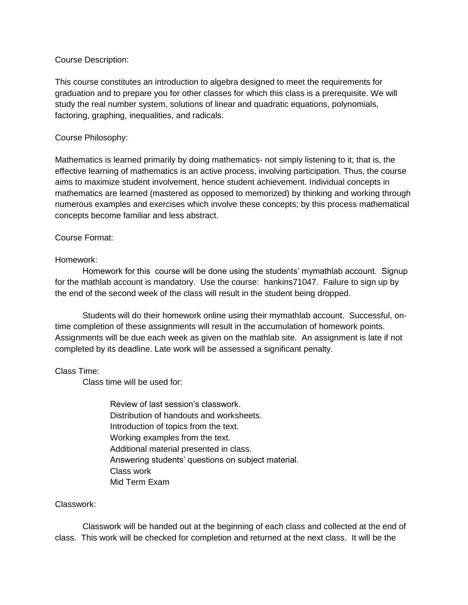#### Course Description:

This course constitutes an introduction to algebra designed to meet the requirements for graduation and to prepare you for other classes for which this class is a prerequisite. We will study the real number system, solutions of linear and quadratic equations, polynomials, factoring, graphing, inequalities, and radicals.

### Course Philosophy:

Mathematics is learned primarily by doing mathematics- not simply listening to it; that is, the effective learning of mathematics is an active process, involving participation. Thus, the course aims to maximize student involvement, hence student achievement. Individual concepts in mathematics are learned (mastered as opposed to memorized) by thinking and working through numerous examples and exercises which involve these concepts; by this process mathematical concepts become familiar and less abstract.

#### Course Format:

#### Homework:

Homework for this course will be done using the students' mymathlab account. Signup for the mathlab account is mandatory. Use the course: hankins71047. Failure to sign up by the end of the second week of the class will result in the student being dropped.

Students will do their homework online using their mymathlab account. Successful, ontime completion of these assignments will result in the accumulation of homework points. Assignments will be due each week as given on the mathlab site. An assignment is late if not completed by its deadline. Late work will be assessed a significant penalty.

## Class Time:

Class time will be used for:

Review of last session's classwork. Distribution of handouts and worksheets. Introduction of topics from the text. Working examples from the text. Additional material presented in class. Answering students' questions on subject material. Class work Mid Term Exam

#### Classwork:

Classwork will be handed out at the beginning of each class and collected at the end of class. This work will be checked for completion and returned at the next class. It will be the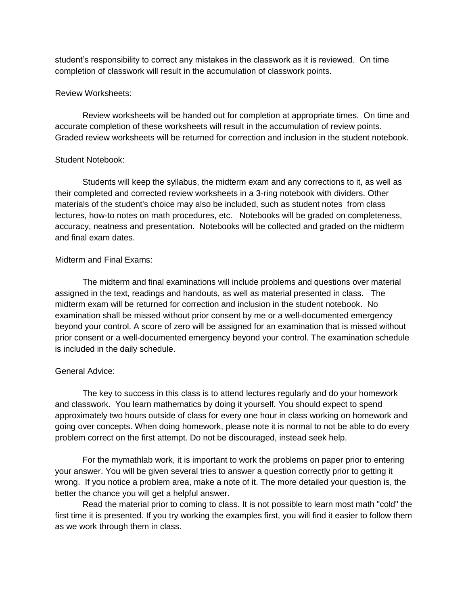student's responsibility to correct any mistakes in the classwork as it is reviewed. On time completion of classwork will result in the accumulation of classwork points.

#### Review Worksheets:

Review worksheets will be handed out for completion at appropriate times. On time and accurate completion of these worksheets will result in the accumulation of review points. Graded review worksheets will be returned for correction and inclusion in the student notebook.

## Student Notebook:

Students will keep the syllabus, the midterm exam and any corrections to it, as well as their completed and corrected review worksheets in a 3-ring notebook with dividers. Other materials of the student's choice may also be included, such as student notes from class lectures, how-to notes on math procedures, etc. Notebooks will be graded on completeness, accuracy, neatness and presentation. Notebooks will be collected and graded on the midterm and final exam dates.

## Midterm and Final Exams:

The midterm and final examinations will include problems and questions over material assigned in the text, readings and handouts, as well as material presented in class. The midterm exam will be returned for correction and inclusion in the student notebook. No examination shall be missed without prior consent by me or a well-documented emergency beyond your control. A score of zero will be assigned for an examination that is missed without prior consent or a well-documented emergency beyond your control. The examination schedule is included in the daily schedule.

## General Advice:

The key to success in this class is to attend lectures regularly and do your homework and classwork. You learn mathematics by doing it yourself. You should expect to spend approximately two hours outside of class for every one hour in class working on homework and going over concepts. When doing homework, please note it is normal to not be able to do every problem correct on the first attempt. Do not be discouraged, instead seek help.

For the mymathlab work, it is important to work the problems on paper prior to entering your answer. You will be given several tries to answer a question correctly prior to getting it wrong. If you notice a problem area, make a note of it. The more detailed your question is, the better the chance you will get a helpful answer.

Read the material prior to coming to class. It is not possible to learn most math "cold" the first time it is presented. If you try working the examples first, you will find it easier to follow them as we work through them in class.